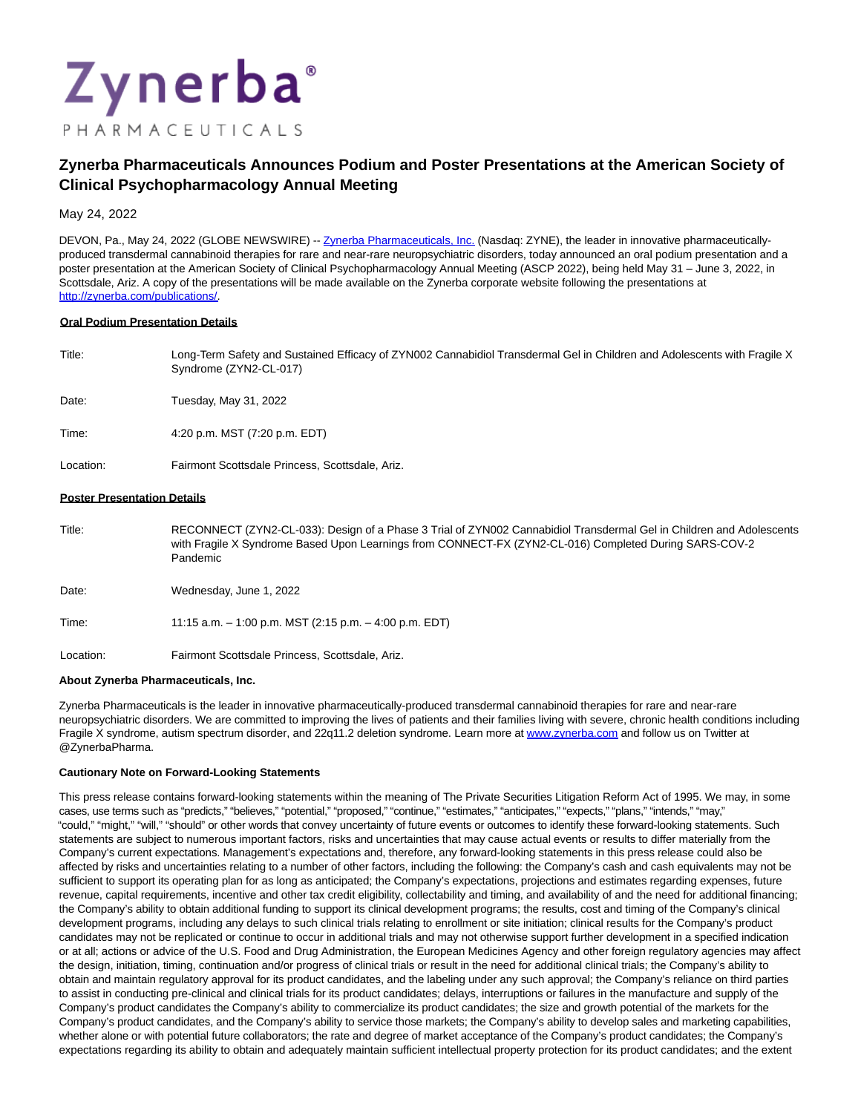

# **Zynerba Pharmaceuticals Announces Podium and Poster Presentations at the American Society of Clinical Psychopharmacology Annual Meeting**

May 24, 2022

DEVON, Pa., May 24, 2022 (GLOBE NEWSWIRE) -[- Zynerba Pharmaceuticals, Inc. \(](https://www.globenewswire.com/Tracker?data=IIMxnAnet8VPCK7yZZcw3ukbTk-dk19RMMokfi9bhFQOvhLRFzgs5VsMXQASiVDnpdI3zj3s-H82NHE9bG2ELHWGymKBl19IEDl6zn6wuUY=)Nasdaq: ZYNE), the leader in innovative pharmaceuticallyproduced transdermal cannabinoid therapies for rare and near-rare neuropsychiatric disorders, today announced an oral podium presentation and a poster presentation at the American Society of Clinical Psychopharmacology Annual Meeting (ASCP 2022), being held May 31 – June 3, 2022, in Scottsdale, Ariz. A copy of the presentations will be made available on the Zynerba corporate website following the presentations at [http://zynerba.com/publications/.](https://www.globenewswire.com/Tracker?data=wG1XkJyam0BP3li-AHratytnJonJrCjHG-0VCPQxHvYfOwJHr-cPAPUohYqBMbCKDRqKDKwvbaCCj37wc-FSoAi-gbPHSLp7CcwoVQQGramT6bDD5pgeb-Ql5M8CD6M9)

#### **Oral Podium Presentation Details**

| Title: | Long-Term Safety and Sustained Efficacy of ZYN002 Cannabidiol Transdermal Gel in Children and Adolescents with Fragile X<br>Syndrome (ZYN2-CL-017) |
|--------|----------------------------------------------------------------------------------------------------------------------------------------------------|
| Date:  | Tuesdav. Mav 31. 2022                                                                                                                              |

Time: 4:20 p.m. MST (7:20 p.m. EDT)

Location: Fairmont Scottsdale Princess, Scottsdale, Ariz.

#### **Poster Presentation Details**

Title: RECONNECT (ZYN2-CL-033): Design of a Phase 3 Trial of ZYN002 Cannabidiol Transdermal Gel in Children and Adolescents with Fragile X Syndrome Based Upon Learnings from CONNECT-FX (ZYN2-CL-016) Completed During SARS-COV-2 Pandemic

Date: Wednesday, June 1, 2022

Time: 11:15 a.m. – 1:00 p.m. MST (2:15 p.m. – 4:00 p.m. EDT)

Location: Fairmont Scottsdale Princess, Scottsdale, Ariz.

#### **About Zynerba Pharmaceuticals, Inc.**

Zynerba Pharmaceuticals is the leader in innovative pharmaceutically-produced transdermal cannabinoid therapies for rare and near-rare neuropsychiatric disorders. We are committed to improving the lives of patients and their families living with severe, chronic health conditions including Fragile X syndrome, autism spectrum disorder, and 22q11.2 deletion syndrome. Learn more at [www.zynerba.com a](https://www.globenewswire.com/Tracker?data=U_4OLQr48GQCVBFoqqCasJmvB0Q2279ZCJVFOVFNdvUfAvYNRGi51C_wakLa1kxRDHctD0WMTQ7vo3lIBm8dtw==)nd follow us on Twitter at @ZynerbaPharma.

## **Cautionary Note on Forward-Looking Statements**

This press release contains forward-looking statements within the meaning of The Private Securities Litigation Reform Act of 1995. We may, in some cases, use terms such as "predicts," "believes," "potential," "proposed," "continue," "estimates," "anticipates," "expects," "plans," "intends," "may," "could," "might," "will," "should" or other words that convey uncertainty of future events or outcomes to identify these forward-looking statements. Such statements are subject to numerous important factors, risks and uncertainties that may cause actual events or results to differ materially from the Company's current expectations. Management's expectations and, therefore, any forward-looking statements in this press release could also be affected by risks and uncertainties relating to a number of other factors, including the following: the Company's cash and cash equivalents may not be sufficient to support its operating plan for as long as anticipated; the Company's expectations, projections and estimates regarding expenses, future revenue, capital requirements, incentive and other tax credit eligibility, collectability and timing, and availability of and the need for additional financing; the Company's ability to obtain additional funding to support its clinical development programs; the results, cost and timing of the Company's clinical development programs, including any delays to such clinical trials relating to enrollment or site initiation; clinical results for the Company's product candidates may not be replicated or continue to occur in additional trials and may not otherwise support further development in a specified indication or at all; actions or advice of the U.S. Food and Drug Administration, the European Medicines Agency and other foreign regulatory agencies may affect the design, initiation, timing, continuation and/or progress of clinical trials or result in the need for additional clinical trials; the Company's ability to obtain and maintain regulatory approval for its product candidates, and the labeling under any such approval; the Company's reliance on third parties to assist in conducting pre-clinical and clinical trials for its product candidates; delays, interruptions or failures in the manufacture and supply of the Company's product candidates the Company's ability to commercialize its product candidates; the size and growth potential of the markets for the Company's product candidates, and the Company's ability to service those markets; the Company's ability to develop sales and marketing capabilities, whether alone or with potential future collaborators; the rate and degree of market acceptance of the Company's product candidates; the Company's expectations regarding its ability to obtain and adequately maintain sufficient intellectual property protection for its product candidates; and the extent